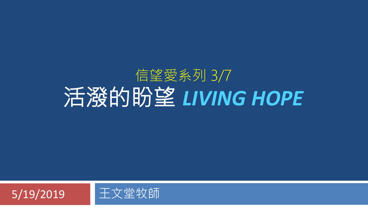#### 信望愛系列 3/7 活潑的盼望 *LIVING HOPE*

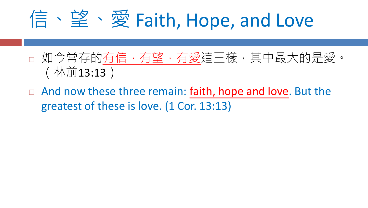## 信、望、愛 Faith, Hope, and Love

- □ 如今常存的有信,有望,有愛這三樣,其中最大的是愛。 (林前13:13)
- $\Box$  And now these three remain: faith, hope and love. But the greatest of these is love. (1 Cor. 13:13)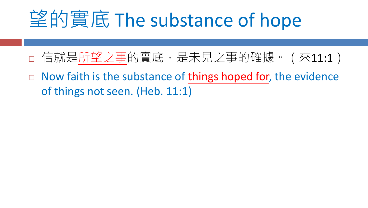#### 望的實底 The substance of hope

- 日信就是所望之事的實底,是未見之事的確據。(來11:1)
- $\Box$  Now faith is the substance of things hoped for, the evidence of things not seen. (Heb. 11:1)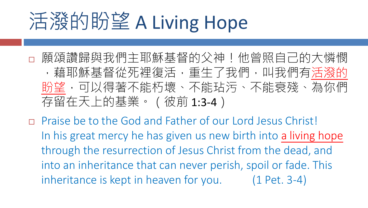# 活潑的盼望 A Living Hope

- 願頌讚歸與我們主耶穌基督的父神!他曾照自己的大憐憫 ,藉耶穌基督從死裡復活,重生了我們,叫我們有活潑的 盼望,可以得著不能朽壞、不能玷污、不能衰殘、為你們 存留在天上的基業。(彼前 1:3-4)
- Praise be to the God and Father of our Lord Jesus Christ! In his great mercy he has given us new birth into a living hope through the resurrection of Jesus Christ from the dead, and into an inheritance that can never perish, spoil or fade. This inheritance is kept in heaven for you. (1 Pet. 3-4)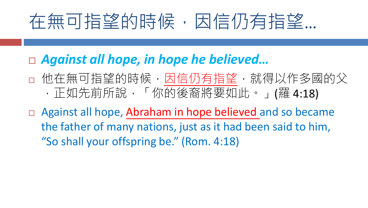#### 在無可指望的時候,因信仍有指望…

- *Against all hope, in hope he believed…*
- 他在無可指望的時候,因信仍有指望,就得以作多國的父 ,正如先前所說,「你的後裔將要如此。」(羅 4:18)
- □ Against all hope, Abraham in hope believed and so became the father of many nations, just as it had been said to him, "So shall your offspring be." (Rom. 4:18)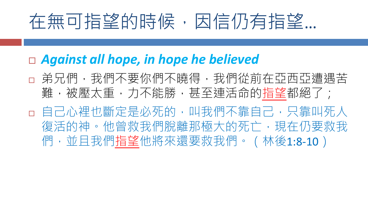#### 在無可指望的時候,因信仍有指望…

#### *Against all hope, in hope he believed*

- **a**弟兄們,我們不要你們不曉得,我們從前在亞西亞遭遇苦 難,被壓太重,力不能勝,甚至連活命的指望都絕了;
- □ 自己心裡也斷定是必死的,叫我們不靠自己,只靠叫死人 復活的神。他曾救我們脫離那極大的死亡,現在仍要救我 們,並且我們指望他將來還要救我們。 (林後1:8-10)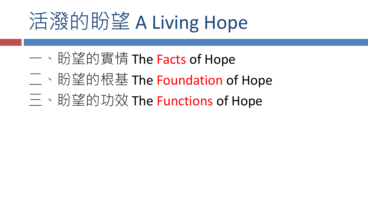# 活潑的盼望 A Living Hope

- 一、盼望的實情 The Facts of Hope
- 二、盼望的根基 The Foundation of Hope
- 三、盼望的功效 The Functions of Hope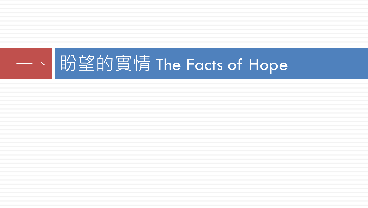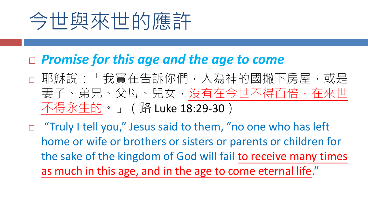## 今世與來世的應許

#### *Promise for this age and the age to come*

- □ 耶穌說:「我實在告訴你們,人為神的國撇下房屋,或是 妻子、弟兄、父母、兒女,沒有在今世不得百倍,在來世 不得永生的。」(路 Luke 18:29-30)
- $\Box$  "Truly I tell you," Jesus said to them, "no one who has left home or wife or brothers or sisters or parents or children for the sake of the kingdom of God will fail to receive many times as much in this age, and in the age to come eternal life."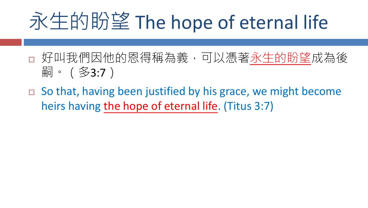# 永生的盼望 The hope of eternal life

- 好叫我們因他的恩得稱為義,可以憑著永生的盼望成為後 嗣。(多3:7)
- $\Box$  So that, having been justified by his grace, we might become heirs having the hope of eternal life. (Titus 3:7)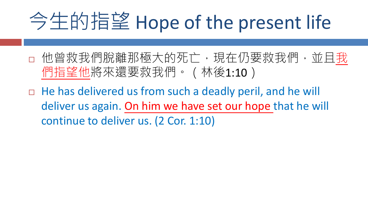# 今生的指望 Hope of the present life

- 他曾救我們脫離那極大的死亡,現在仍要救我們,並且我 們指望他將來還要救我們。(林後1:10)
- $\Box$  He has delivered us from such a deadly peril, and he will deliver us again. On him we have set our hope that he will continue to deliver us. (2 Cor. 1:10)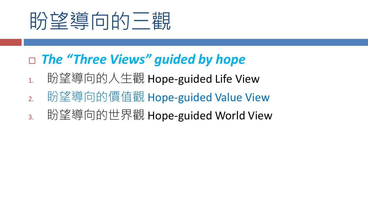

#### *The "Three Views" guided by hope*

- 1. 盼望導向的人生觀 Hope-guided Life View
- 2. 盼望導向的價值觀 Hope-guided Value View
- 3. 盼望導向的世界觀 Hope-guided World View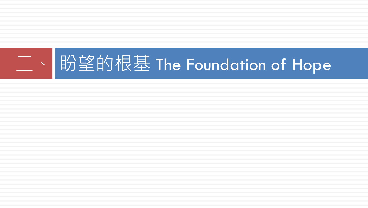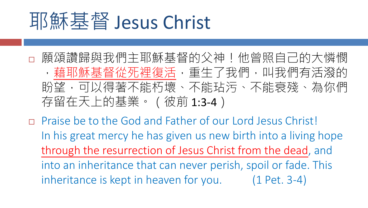#### 耶穌基督 Jesus Christ

- 願頌讚歸與我們主耶穌基督的父神!他曾照自己的大憐憫 ,藉耶穌基督從死裡復活,重生了我們,叫我們有活潑的 盼望,可以得著不能朽壞、不能玷污、不能衰殘、為你們 存留在天上的基業。(彼前 1:3-4)
- Praise be to the God and Father of our Lord Jesus Christ! In his great mercy he has given us new birth into a living hope through the resurrection of Jesus Christ from the dead, and into an inheritance that can never perish, spoil or fade. This inheritance is kept in heaven for you. (1 Pet. 3-4)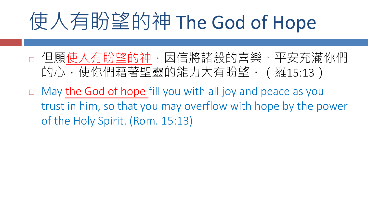# 使人有盼望的神 The God of Hope

- 日 但願使人有盼望的神,因信將諸般的喜樂、平安充滿你們 的心,使你們藉著聖靈的能力大有盼望。 (羅15:13)
- May the God of hope fill you with all joy and peace as you trust in him, so that you may overflow with hope by the power of the Holy Spirit. (Rom. 15:13)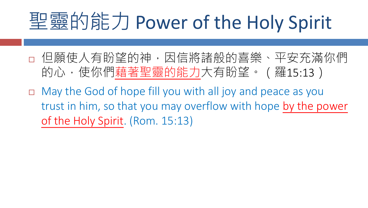## 聖靈的能力 Power of the Holy Spirit

- 但願使人有盼望的神,因信將諸般的喜樂、平安充滿你們 的心,使你們藉著聖靈的能力大有盼望。(羅15:13)
- May the God of hope fill you with all joy and peace as you trust in him, so that you may overflow with hope by the power of the Holy Spirit. (Rom. 15:13)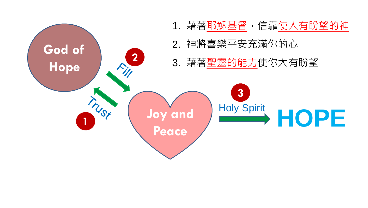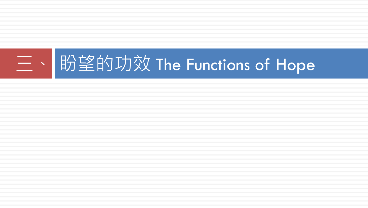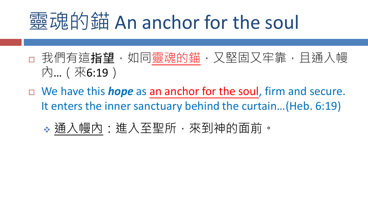#### **靈魂的錨 An anchor for the soul**

- **□ 我們有這指望,如同靈魂的錨,又堅固又牢靠,且通入幔** 內…(來6:19)
- We have this *hope* as an anchor for the soul, firm and secure. It enters the inner sanctuary behind the curtain…(Heb. 6:19)
	- 通入幔內:進入至聖所,來到神的面前。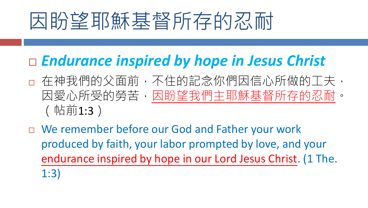# 因盼望耶穌基督所存的忍耐

#### *Endurance inspired by hope in Jesus Christ*

- 口 在神我們的父面前,不住的記念你們因信心所做的工夫, 因愛心所受的勞苦,因盼望我們主耶穌基督所存的忍耐。 (帖前1:3)
- □ We remember before our God and Father your work produced by faith, your labor prompted by love, and your endurance inspired by hope in our Lord Jesus Christ. (1 The.
	- 1:3)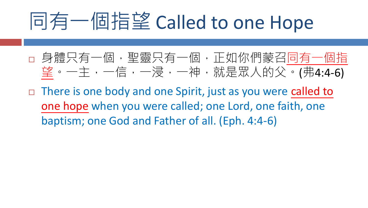## 同有一個指望 Called to one Hope

- □ 身體只有一個, 聖靈只有一個, 正如你們蒙召同有一個指 望。一主,一信,一浸,一神,就是眾人的父。(弗4:4-6)
- $\Box$  There is one body and one Spirit, just as you were called to one hope when you were called; one Lord, one faith, one baptism; one God and Father of all. (Eph. 4:4-6)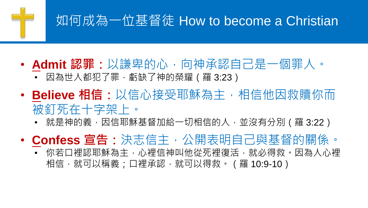#### 如何成為一位基督徒 How to become a Christian

- **Admit 認罪:**以謙卑的心,向神承認自己是一個罪人。 • 因為世人都犯了罪,虧缺了神的榮耀 (羅 3:23)
- **Believe 相信:**以信心接受耶穌為主,相信他因救贖你而 被釘死在十字架上。
	- 就是神的義,因信耶穌基督加給一切相信的人,並沒有分別(羅 3:22)
- **Confess 宣告:**決志信主,公開表明自己與基督的關係。
	- 你若口裡認耶穌為主,心裡信神叫他從死裡復活,就必得救。因為人心裡 相信,就可以稱義;口裡承認,就可以得救。(羅 10:9-10)